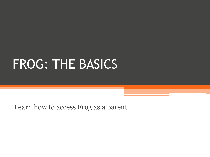# FROG: THE BASICS

Learn how to access Frog as a parent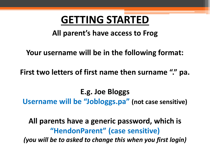#### **GETTING STARTED**

**All parent's have access to Frog**

**Your username will be in the following format:**

**First two letters of first name then surname "." pa.**

**E.g. Joe Bloggs Username will be "Jobloggs.pa" (not case sensitive)**

**All parents have a generic password, which is "HendonParent" (case sensitive)** *(you will be to asked to change this when you first login)*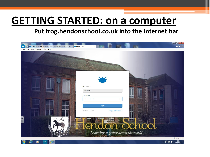#### **GETTING STARTED: on a computer**

#### **Put frog.hendonschool.co.uk into the internet bar**

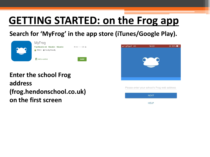## **GETTING STARTED: on the Frog app**

**Search for 'MyFrog' in the app store (iTunes/Google Play).** 



**Enter the school Frog address (frog.hendonschool.co.uk) on the first screen**



Please enter your school's Frog web address

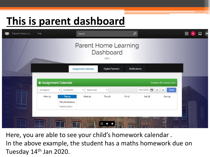

Here, you are able to see your child's homework calendar . In the above example, the student has a maths homework due on Tuesday 14th Jan 2020.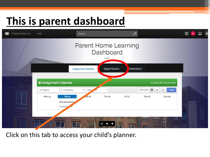

Click on this tab to access your child's planner.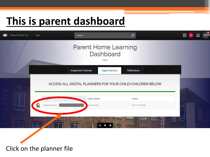

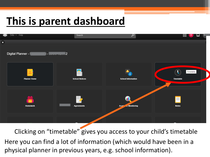

Clicking on "timetable" gives you access to your child's timetable Here you can find a lot of information (which would have been in a physical planner in previous years, e.g. school information).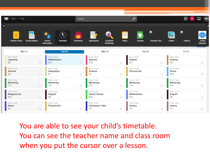

You are able to see your child's timetable. You can see the teacher name and class room when you put the cursor over a lesson.